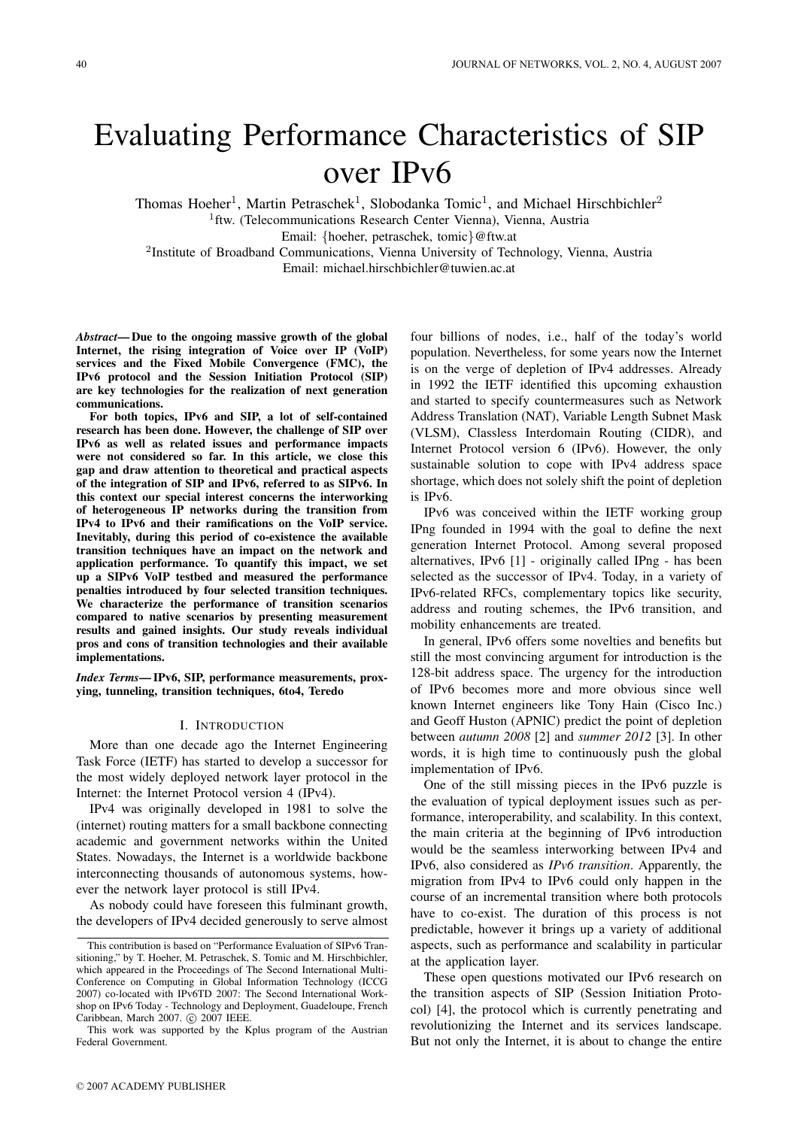# Evaluating Performance Characteristics of SIP over IPv6

Thomas Hoeher<sup>1</sup>, Martin Petraschek<sup>1</sup>, Slobodanka Tomic<sup>1</sup>, and Michael Hirschbichler<sup>2</sup> <sup>1</sup>ftw. (Telecommunications Research Center Vienna), Vienna, Austria

Email: {hoeher, petraschek, tomic}@ftw.at

<sup>2</sup>Institute of Broadband Communications, Vienna University of Technology, Vienna, Austria Email: michael.hirschbichler@tuwien.ac.at

*Abstract*— Due to the ongoing massive growth of the global Internet, the rising integration of Voice over IP (VoIP) services and the Fixed Mobile Convergence (FMC), the IPv6 protocol and the Session Initiation Protocol (SIP) are key technologies for the realization of next generation communications.

For both topics, IPv6 and SIP, a lot of self-contained research has been done. However, the challenge of SIP over IPv6 as well as related issues and performance impacts were not considered so far. In this article, we close this gap and draw attention to theoretical and practical aspects of the integration of SIP and IPv6, referred to as SIPv6. In this context our special interest concerns the interworking of heterogeneous IP networks during the transition from IPv4 to IPv6 and their ramifications on the VoIP service. Inevitably, during this period of co-existence the available transition techniques have an impact on the network and application performance. To quantify this impact, we set up a SIPv6 VoIP testbed and measured the performance penalties introduced by four selected transition techniques. We characterize the performance of transition scenarios compared to native scenarios by presenting measurement results and gained insights. Our study reveals individual pros and cons of transition technologies and their available implementations.

*Index Terms*— IPv6, SIP, performance measurements, proxying, tunneling, transition techniques, 6to4, Teredo

## I. INTRODUCTION

More than one decade ago the Internet Engineering Task Force (IETF) has started to develop a successor for the most widely deployed network layer protocol in the Internet: the Internet Protocol version 4 (IPv4).

IPv4 was originally developed in 1981 to solve the (internet) routing matters for a small backbone connecting academic and government networks within the United States. Nowadays, the Internet is a worldwide backbone interconnecting thousands of autonomous systems, however the network layer protocol is still IPv4.

As nobody could have foreseen this fulminant growth, the developers of IPv4 decided generously to serve almost four billions of nodes, i.e., half of the today's world population. Nevertheless, for some years now the Internet is on the verge of depletion of IPv4 addresses. Already in 1992 the IETF identified this upcoming exhaustion and started to specify countermeasures such as Network Address Translation (NAT), Variable Length Subnet Mask (VLSM), Classless Interdomain Routing (CIDR), and Internet Protocol version 6 (IPv6). However, the only sustainable solution to cope with IPv4 address space shortage, which does not solely shift the point of depletion is IPv6.

IPv6 was conceived within the IETF working group IPng founded in 1994 with the goal to define the next generation Internet Protocol. Among several proposed alternatives, IPv6 [1] - originally called IPng - has been selected as the successor of IPv4. Today, in a variety of IPv6-related RFCs, complementary topics like security, address and routing schemes, the IPv6 transition, and mobility enhancements are treated.

In general, IPv6 offers some novelties and benefits but still the most convincing argument for introduction is the 128-bit address space. The urgency for the introduction of IPv6 becomes more and more obvious since well known Internet engineers like Tony Hain (Cisco Inc.) and Geoff Huston (APNIC) predict the point of depletion between *autumn 2008* [2] and *summer 2012* [3]. In other words, it is high time to continuously push the global implementation of IPv6.

One of the still missing pieces in the IPv6 puzzle is the evaluation of typical deployment issues such as performance, interoperability, and scalability. In this context, the main criteria at the beginning of IPv6 introduction would be the seamless interworking between IPv4 and IPv6, also considered as *IPv6 transition*. Apparently, the migration from IPv4 to IPv6 could only happen in the course of an incremental transition where both protocols have to co-exist. The duration of this process is not predictable, however it brings up a variety of additional aspects, such as performance and scalability in particular at the application layer.

These open questions motivated our IPv6 research on the transition aspects of SIP (Session Initiation Protocol) [4], the protocol which is currently penetrating and revolutionizing the Internet and its services landscape. But not only the Internet, it is about to change the entire

This contribution is based on "Performance Evaluation of SIPv6 Transitioning," by T. Hoeher, M. Petraschek, S. Tomic and M. Hirschbichler, which appeared in the Proceedings of The Second International Multi-Conference on Computing in Global Information Technology (ICCG 2007) co-located with IPv6TD 2007: The Second International Workshop on IPv6 Today - Technology and Deployment, Guadeloupe, French Caribbean, March 2007. C 2007 IEEE.

This work was supported by the Kplus program of the Austrian Federal Government.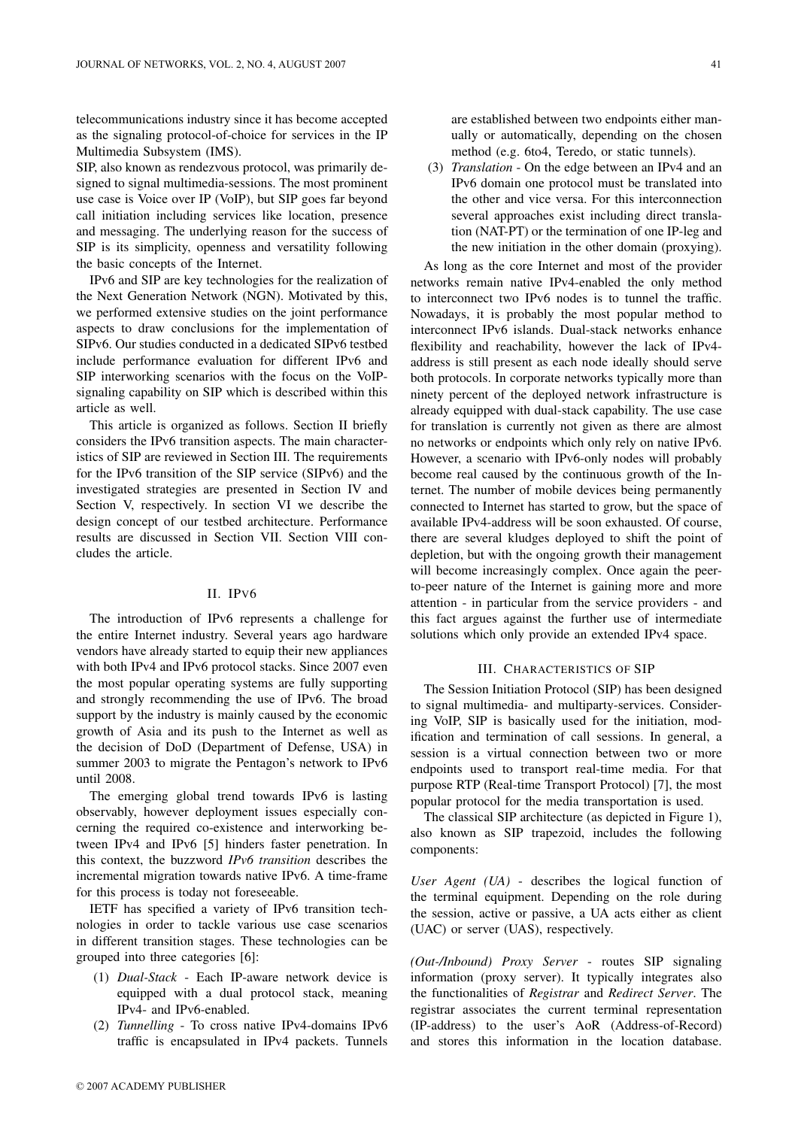telecommunications industry since it has become accepted as the signaling protocol-of-choice for services in the IP Multimedia Subsystem (IMS).

SIP, also known as rendezvous protocol, was primarily designed to signal multimedia-sessions. The most prominent use case is Voice over IP (VoIP), but SIP goes far beyond call initiation including services like location, presence and messaging. The underlying reason for the success of SIP is its simplicity, openness and versatility following the basic concepts of the Internet.

IPv6 and SIP are key technologies for the realization of the Next Generation Network (NGN). Motivated by this, we performed extensive studies on the joint performance aspects to draw conclusions for the implementation of SIPv6. Our studies conducted in a dedicated SIPv6 testbed include performance evaluation for different IPv6 and SIP interworking scenarios with the focus on the VoIPsignaling capability on SIP which is described within this article as well.

This article is organized as follows. Section II briefly considers the IPv6 transition aspects. The main characteristics of SIP are reviewed in Section III. The requirements for the IPv6 transition of the SIP service (SIPv6) and the investigated strategies are presented in Section IV and Section V, respectively. In section VI we describe the design concept of our testbed architecture. Performance results are discussed in Section VII. Section VIII concludes the article.

# II. IPV6

The introduction of IPv6 represents a challenge for the entire Internet industry. Several years ago hardware vendors have already started to equip their new appliances with both IPv4 and IPv6 protocol stacks. Since 2007 even the most popular operating systems are fully supporting and strongly recommending the use of IPv6. The broad support by the industry is mainly caused by the economic growth of Asia and its push to the Internet as well as the decision of DoD (Department of Defense, USA) in summer 2003 to migrate the Pentagon's network to IPv6 until 2008.

The emerging global trend towards IPv6 is lasting observably, however deployment issues especially concerning the required co-existence and interworking between IPv4 and IPv6 [5] hinders faster penetration. In this context, the buzzword *IPv6 transition* describes the incremental migration towards native IPv6. A time-frame for this process is today not foreseeable.

IETF has specified a variety of IPv6 transition technologies in order to tackle various use case scenarios in different transition stages. These technologies can be grouped into three categories [6]:

- (1) *Dual-Stack* Each IP-aware network device is equipped with a dual protocol stack, meaning IPv4- and IPv6-enabled.
- (2) *Tunnelling* To cross native IPv4-domains IPv6 traffic is encapsulated in IPv4 packets. Tunnels

are established between two endpoints either manually or automatically, depending on the chosen method (e.g. 6to4, Teredo, or static tunnels).

(3) *Translation* - On the edge between an IPv4 and an IPv6 domain one protocol must be translated into the other and vice versa. For this interconnection several approaches exist including direct translation (NAT-PT) or the termination of one IP-leg and the new initiation in the other domain (proxying).

As long as the core Internet and most of the provider networks remain native IPv4-enabled the only method to interconnect two IPv6 nodes is to tunnel the traffic. Nowadays, it is probably the most popular method to interconnect IPv6 islands. Dual-stack networks enhance flexibility and reachability, however the lack of IPv4 address is still present as each node ideally should serve both protocols. In corporate networks typically more than ninety percent of the deployed network infrastructure is already equipped with dual-stack capability. The use case for translation is currently not given as there are almost no networks or endpoints which only rely on native IPv6. However, a scenario with IPv6-only nodes will probably become real caused by the continuous growth of the Internet. The number of mobile devices being permanently connected to Internet has started to grow, but the space of available IPv4-address will be soon exhausted. Of course, there are several kludges deployed to shift the point of depletion, but with the ongoing growth their management will become increasingly complex. Once again the peerto-peer nature of the Internet is gaining more and more attention - in particular from the service providers - and this fact argues against the further use of intermediate solutions which only provide an extended IPv4 space.

## III. CHARACTERISTICS OF SIP

The Session Initiation Protocol (SIP) has been designed to signal multimedia- and multiparty-services. Considering VoIP, SIP is basically used for the initiation, modification and termination of call sessions. In general, a session is a virtual connection between two or more endpoints used to transport real-time media. For that purpose RTP (Real-time Transport Protocol) [7], the most popular protocol for the media transportation is used.

The classical SIP architecture (as depicted in Figure 1), also known as SIP trapezoid, includes the following components:

*User Agent (UA)* - describes the logical function of the terminal equipment. Depending on the role during the session, active or passive, a UA acts either as client (UAC) or server (UAS), respectively.

*(Out-/Inbound) Proxy Server* - routes SIP signaling information (proxy server). It typically integrates also the functionalities of *Registrar* and *Redirect Server*. The registrar associates the current terminal representation (IP-address) to the user's AoR (Address-of-Record) and stores this information in the location database.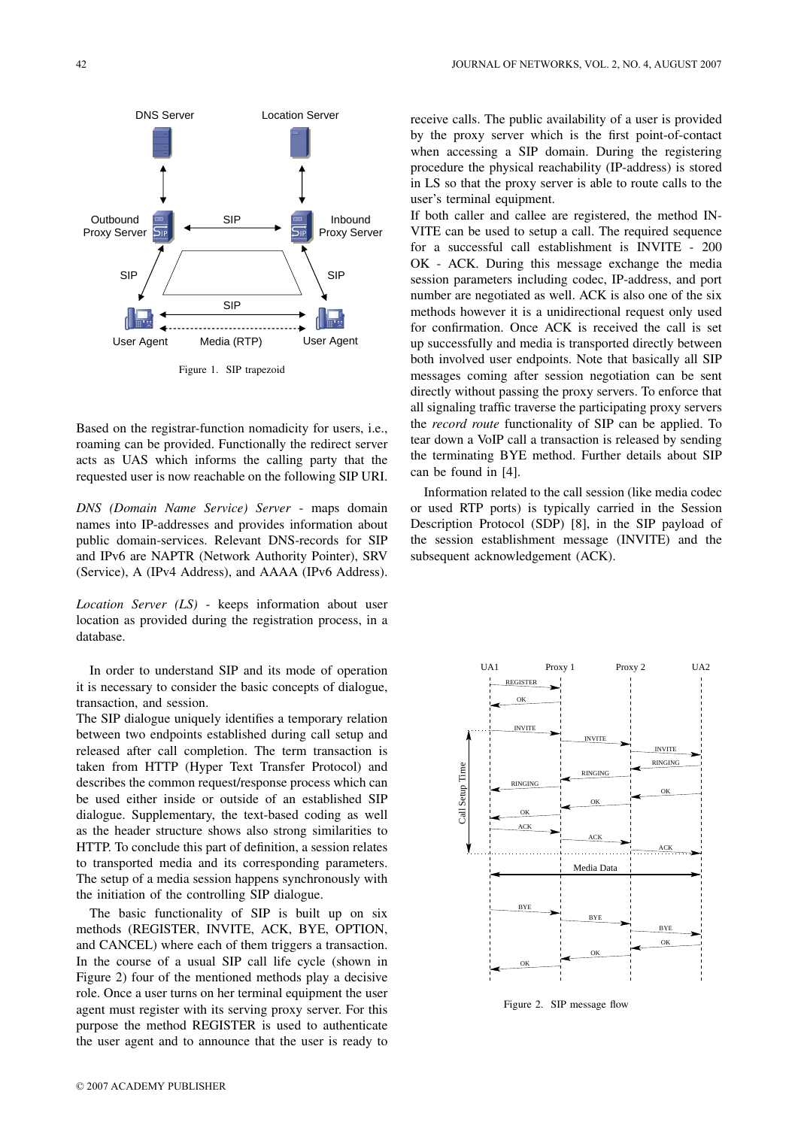

Figure 1. SIP trapezoid

Based on the registrar-function nomadicity for users, i.e., roaming can be provided. Functionally the redirect server acts as UAS which informs the calling party that the requested user is now reachable on the following SIP URI.

*DNS (Domain Name Service) Server* - maps domain names into IP-addresses and provides information about public domain-services. Relevant DNS-records for SIP and IPv6 are NAPTR (Network Authority Pointer), SRV (Service), A (IPv4 Address), and AAAA (IPv6 Address).

*Location Server (LS)* - keeps information about user location as provided during the registration process, in a database.

In order to understand SIP and its mode of operation it is necessary to consider the basic concepts of dialogue, transaction, and session.

The SIP dialogue uniquely identifies a temporary relation between two endpoints established during call setup and released after call completion. The term transaction is taken from HTTP (Hyper Text Transfer Protocol) and describes the common request/response process which can be used either inside or outside of an established SIP dialogue. Supplementary, the text-based coding as well as the header structure shows also strong similarities to HTTP. To conclude this part of definition, a session relates to transported media and its corresponding parameters. The setup of a media session happens synchronously with the initiation of the controlling SIP dialogue.

The basic functionality of SIP is built up on six methods (REGISTER, INVITE, ACK, BYE, OPTION, and CANCEL) where each of them triggers a transaction. In the course of a usual SIP call life cycle (shown in Figure 2) four of the mentioned methods play a decisive role. Once a user turns on her terminal equipment the user agent must register with its serving proxy server. For this purpose the method REGISTER is used to authenticate the user agent and to announce that the user is ready to

receive calls. The public availability of a user is provided by the proxy server which is the first point-of-contact when accessing a SIP domain. During the registering procedure the physical reachability (IP-address) is stored in LS so that the proxy server is able to route calls to the user's terminal equipment.

If both caller and callee are registered, the method IN-VITE can be used to setup a call. The required sequence for a successful call establishment is INVITE - 200 OK - ACK. During this message exchange the media session parameters including codec, IP-address, and port number are negotiated as well. ACK is also one of the six methods however it is a unidirectional request only used for confirmation. Once ACK is received the call is set up successfully and media is transported directly between both involved user endpoints. Note that basically all SIP messages coming after session negotiation can be sent directly without passing the proxy servers. To enforce that all signaling traffic traverse the participating proxy servers the *record route* functionality of SIP can be applied. To tear down a VoIP call a transaction is released by sending the terminating BYE method. Further details about SIP can be found in [4].

Information related to the call session (like media codec or used RTP ports) is typically carried in the Session Description Protocol (SDP) [8], in the SIP payload of the session establishment message (INVITE) and the subsequent acknowledgement (ACK).



Figure 2. SIP message flow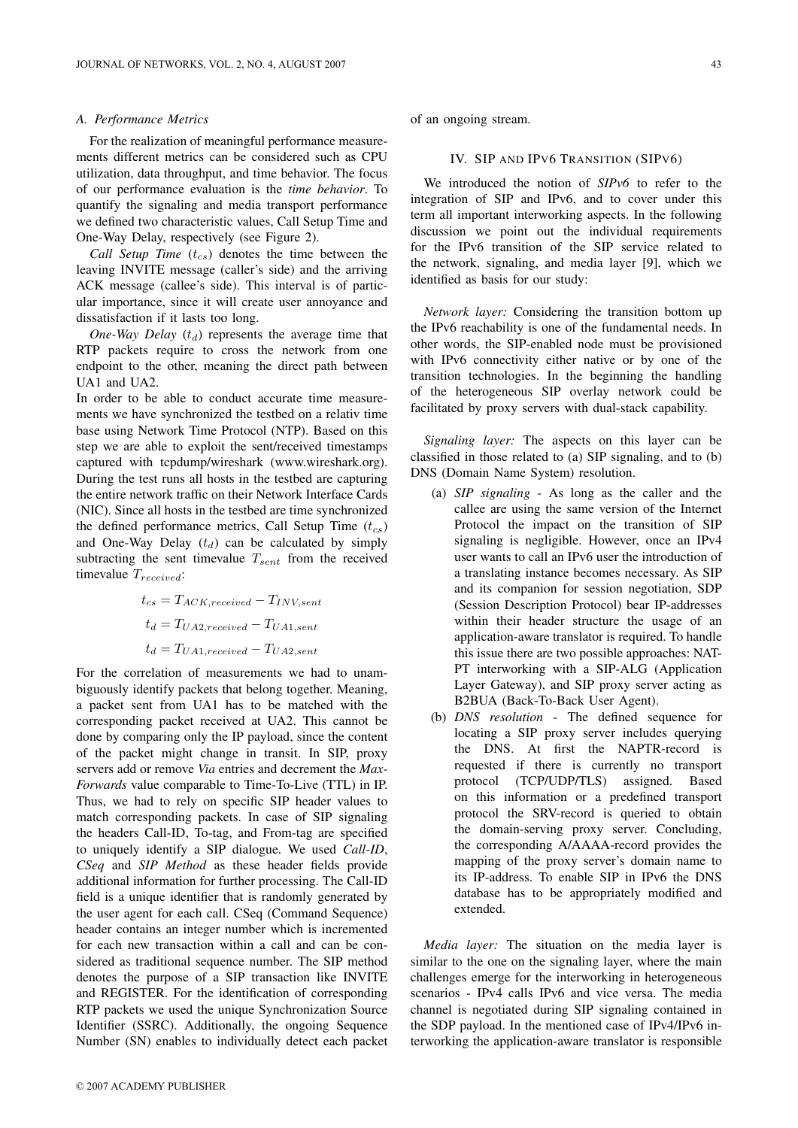#### *A. Performance Metrics*

For the realization of meaningful performance measurements different metrics can be considered such as CPU utilization, data throughput, and time behavior. The focus of our performance evaluation is the *time behavior*. To quantify the signaling and media transport performance we defined two characteristic values, Call Setup Time and One-Way Delay, respectively (see Figure 2).

*Call Setup Time*  $(t_{cs})$  denotes the time between the leaving INVITE message (caller's side) and the arriving ACK message (callee's side). This interval is of particular importance, since it will create user annoyance and dissatisfaction if it lasts too long.

*One-Way Delay*  $(t_d)$  represents the average time that RTP packets require to cross the network from one endpoint to the other, meaning the direct path between UA1 and UA2.

In order to be able to conduct accurate time measurements we have synchronized the testbed on a relativ time base using Network Time Protocol (NTP). Based on this step we are able to exploit the sent/received timestamps captured with tcpdump/wireshark (www.wireshark.org). During the test runs all hosts in the testbed are capturing the entire network traffic on their Network Interface Cards (NIC). Since all hosts in the testbed are time synchronized the defined performance metrics, Call Setup Time  $(t_{cs})$ and One-Way Delay  $(t_d)$  can be calculated by simply subtracting the sent timevalue  $T_{sent}$  from the received timevalue  $T_{received}$ :

$$
t_{cs} = T_{ACK, received} - T_{INV, sent}
$$
  

$$
t_d = T_{UA2, received} - T_{UA1, sent}
$$
  

$$
t_d = T_{UA1, received} - T_{UA2, sent}
$$

For the correlation of measurements we had to unambiguously identify packets that belong together. Meaning, a packet sent from UA1 has to be matched with the corresponding packet received at UA2. This cannot be done by comparing only the IP payload, since the content of the packet might change in transit. In SIP, proxy servers add or remove *Via* entries and decrement the *Max-Forwards* value comparable to Time-To-Live (TTL) in IP. Thus, we had to rely on specific SIP header values to match corresponding packets. In case of SIP signaling the headers Call-ID, To-tag, and From-tag are specified to uniquely identify a SIP dialogue. We used *Call-ID*, *CSeq* and *SIP Method* as these header fields provide additional information for further processing. The Call-ID field is a unique identifier that is randomly generated by the user agent for each call. CSeq (Command Sequence) header contains an integer number which is incremented for each new transaction within a call and can be considered as traditional sequence number. The SIP method denotes the purpose of a SIP transaction like INVITE and REGISTER. For the identification of corresponding RTP packets we used the unique Synchronization Source Identifier (SSRC). Additionally, the ongoing Sequence Number (SN) enables to individually detect each packet of an ongoing stream.

#### IV. SIP AND IPV6 TRANSITION (SIPV6)

We introduced the notion of *SIPv6* to refer to the integration of SIP and IPv6, and to cover under this term all important interworking aspects. In the following discussion we point out the individual requirements for the IPv6 transition of the SIP service related to the network, signaling, and media layer [9], which we identified as basis for our study:

*Network layer:* Considering the transition bottom up the IPv6 reachability is one of the fundamental needs. In other words, the SIP-enabled node must be provisioned with IPv6 connectivity either native or by one of the transition technologies. In the beginning the handling of the heterogeneous SIP overlay network could be facilitated by proxy servers with dual-stack capability.

*Signaling layer:* The aspects on this layer can be classified in those related to (a) SIP signaling, and to (b) DNS (Domain Name System) resolution.

- (a) *SIP signaling* As long as the caller and the callee are using the same version of the Internet Protocol the impact on the transition of SIP signaling is negligible. However, once an IPv4 user wants to call an IPv6 user the introduction of a translating instance becomes necessary. As SIP and its companion for session negotiation, SDP (Session Description Protocol) bear IP-addresses within their header structure the usage of an application-aware translator is required. To handle this issue there are two possible approaches: NAT-PT interworking with a SIP-ALG (Application Layer Gateway), and SIP proxy server acting as B2BUA (Back-To-Back User Agent).
- (b) *DNS resolution* The defined sequence for locating a SIP proxy server includes querying the DNS. At first the NAPTR-record is requested if there is currently no transport protocol (TCP/UDP/TLS) assigned. Based on this information or a predefined transport protocol the SRV-record is queried to obtain the domain-serving proxy server. Concluding, the corresponding A/AAAA-record provides the mapping of the proxy server's domain name to its IP-address. To enable SIP in IPv6 the DNS database has to be appropriately modified and extended.

*Media layer:* The situation on the media layer is similar to the one on the signaling layer, where the main challenges emerge for the interworking in heterogeneous scenarios - IPv4 calls IPv6 and vice versa. The media channel is negotiated during SIP signaling contained in the SDP payload. In the mentioned case of IPv4/IPv6 interworking the application-aware translator is responsible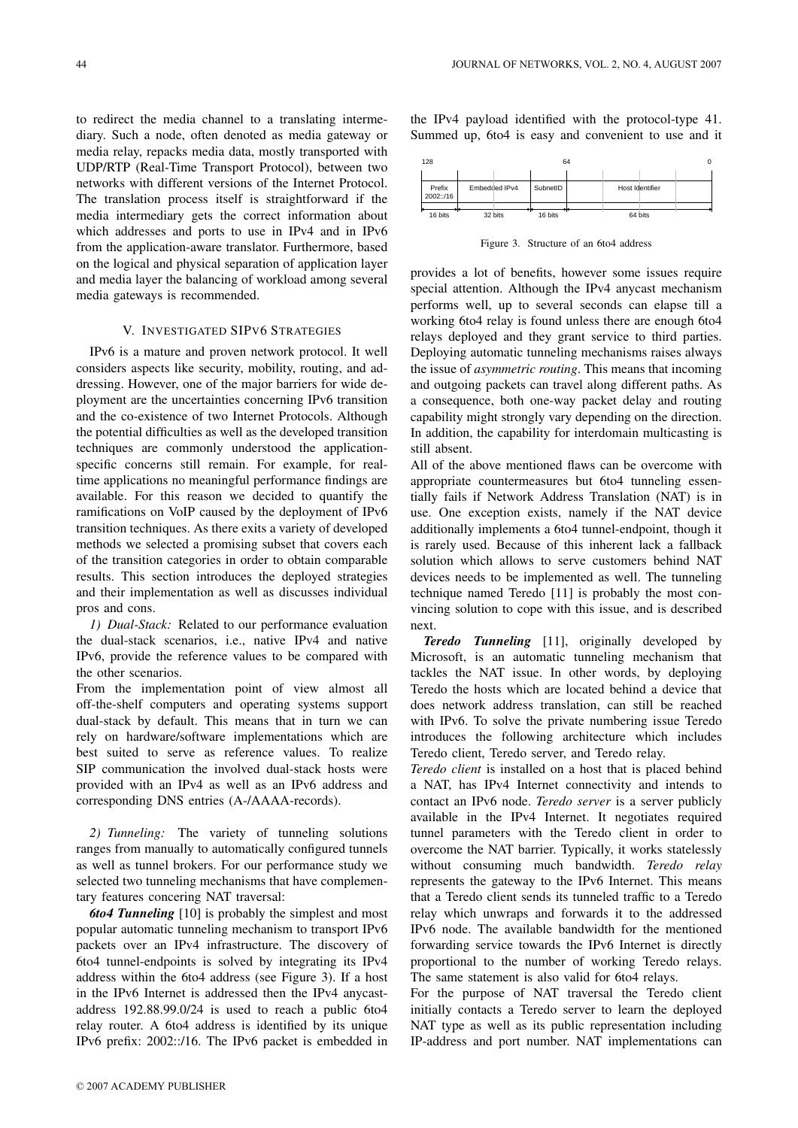to redirect the media channel to a translating intermediary. Such a node, often denoted as media gateway or media relay, repacks media data, mostly transported with UDP/RTP (Real-Time Transport Protocol), between two networks with different versions of the Internet Protocol. The translation process itself is straightforward if the media intermediary gets the correct information about which addresses and ports to use in IPv4 and in IPv6 from the application-aware translator. Furthermore, based on the logical and physical separation of application layer and media layer the balancing of workload among several media gateways is recommended.

## V. INVESTIGATED SIPV6 STRATEGIES

IPv6 is a mature and proven network protocol. It well considers aspects like security, mobility, routing, and addressing. However, one of the major barriers for wide deployment are the uncertainties concerning IPv6 transition and the co-existence of two Internet Protocols. Although the potential difficulties as well as the developed transition techniques are commonly understood the applicationspecific concerns still remain. For example, for realtime applications no meaningful performance findings are available. For this reason we decided to quantify the ramifications on VoIP caused by the deployment of IPv6 transition techniques. As there exits a variety of developed methods we selected a promising subset that covers each of the transition categories in order to obtain comparable results. This section introduces the deployed strategies and their implementation as well as discusses individual pros and cons.

*1) Dual-Stack:* Related to our performance evaluation the dual-stack scenarios, i.e., native IPv4 and native IPv6, provide the reference values to be compared with the other scenarios.

From the implementation point of view almost all off-the-shelf computers and operating systems support dual-stack by default. This means that in turn we can rely on hardware/software implementations which are best suited to serve as reference values. To realize SIP communication the involved dual-stack hosts were provided with an IPv4 as well as an IPv6 address and corresponding DNS entries (A-/AAAA-records).

*2) Tunneling:* The variety of tunneling solutions ranges from manually to automatically configured tunnels as well as tunnel brokers. For our performance study we selected two tunneling mechanisms that have complementary features concering NAT traversal:

*6to4 Tunneling* [10] is probably the simplest and most popular automatic tunneling mechanism to transport IPv6 packets over an IPv4 infrastructure. The discovery of 6to4 tunnel-endpoints is solved by integrating its IPv4 address within the 6to4 address (see Figure 3). If a host in the IPv6 Internet is addressed then the IPv4 anycastaddress 192.88.99.0/24 is used to reach a public 6to4 relay router. A 6to4 address is identified by its unique IPv6 prefix: 2002::/16. The IPv6 packet is embedded in

the IPv4 payload identified with the protocol-type 41. Summed up, 6to4 is easy and convenient to use and it



Figure 3. Structure of an 6to4 address

provides a lot of benefits, however some issues require special attention. Although the IPv4 anycast mechanism performs well, up to several seconds can elapse till a working 6to4 relay is found unless there are enough 6to4 relays deployed and they grant service to third parties. Deploying automatic tunneling mechanisms raises always the issue of *asymmetric routing*. This means that incoming and outgoing packets can travel along different paths. As a consequence, both one-way packet delay and routing capability might strongly vary depending on the direction. In addition, the capability for interdomain multicasting is still absent.

All of the above mentioned flaws can be overcome with appropriate countermeasures but 6to4 tunneling essentially fails if Network Address Translation (NAT) is in use. One exception exists, namely if the NAT device additionally implements a 6to4 tunnel-endpoint, though it is rarely used. Because of this inherent lack a fallback solution which allows to serve customers behind NAT devices needs to be implemented as well. The tunneling technique named Teredo [11] is probably the most convincing solution to cope with this issue, and is described next.

*Teredo Tunneling* [11], originally developed by Microsoft, is an automatic tunneling mechanism that tackles the NAT issue. In other words, by deploying Teredo the hosts which are located behind a device that does network address translation, can still be reached with IPv6. To solve the private numbering issue Teredo introduces the following architecture which includes Teredo client, Teredo server, and Teredo relay.

*Teredo client* is installed on a host that is placed behind a NAT, has IPv4 Internet connectivity and intends to contact an IPv6 node. *Teredo server* is a server publicly available in the IPv4 Internet. It negotiates required tunnel parameters with the Teredo client in order to overcome the NAT barrier. Typically, it works statelessly without consuming much bandwidth. *Teredo relay* represents the gateway to the IPv6 Internet. This means that a Teredo client sends its tunneled traffic to a Teredo relay which unwraps and forwards it to the addressed IPv6 node. The available bandwidth for the mentioned forwarding service towards the IPv6 Internet is directly proportional to the number of working Teredo relays. The same statement is also valid for 6to4 relays.

For the purpose of NAT traversal the Teredo client initially contacts a Teredo server to learn the deployed NAT type as well as its public representation including IP-address and port number. NAT implementations can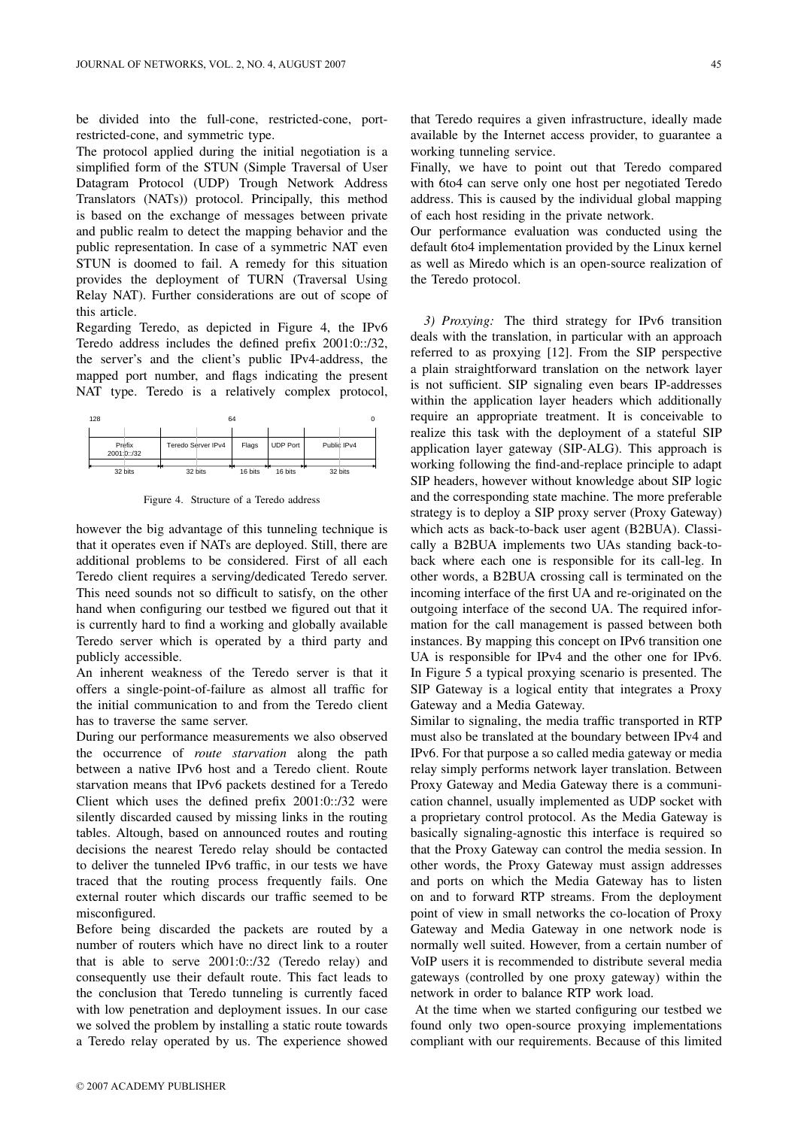be divided into the full-cone, restricted-cone, portrestricted-cone, and symmetric type.

The protocol applied during the initial negotiation is a simplified form of the STUN (Simple Traversal of User Datagram Protocol (UDP) Trough Network Address Translators (NATs)) protocol. Principally, this method is based on the exchange of messages between private and public realm to detect the mapping behavior and the public representation. In case of a symmetric NAT even STUN is doomed to fail. A remedy for this situation provides the deployment of TURN (Traversal Using Relay NAT). Further considerations are out of scope of this article.

Regarding Teredo, as depicted in Figure 4, the IPv6 Teredo address includes the defined prefix 2001:0::/32, the server's and the client's public IPv4-address, the mapped port number, and flags indicating the present NAT type. Teredo is a relatively complex protocol,



Figure 4. Structure of a Teredo address

however the big advantage of this tunneling technique is that it operates even if NATs are deployed. Still, there are additional problems to be considered. First of all each Teredo client requires a serving/dedicated Teredo server. This need sounds not so difficult to satisfy, on the other hand when configuring our testbed we figured out that it is currently hard to find a working and globally available Teredo server which is operated by a third party and publicly accessible.

An inherent weakness of the Teredo server is that it offers a single-point-of-failure as almost all traffic for the initial communication to and from the Teredo client has to traverse the same server.

During our performance measurements we also observed the occurrence of *route starvation* along the path between a native IPv6 host and a Teredo client. Route starvation means that IPv6 packets destined for a Teredo Client which uses the defined prefix 2001:0::/32 were silently discarded caused by missing links in the routing tables. Altough, based on announced routes and routing decisions the nearest Teredo relay should be contacted to deliver the tunneled IPv6 traffic, in our tests we have traced that the routing process frequently fails. One external router which discards our traffic seemed to be misconfigured.

Before being discarded the packets are routed by a number of routers which have no direct link to a router that is able to serve 2001:0::/32 (Teredo relay) and consequently use their default route. This fact leads to the conclusion that Teredo tunneling is currently faced with low penetration and deployment issues. In our case we solved the problem by installing a static route towards a Teredo relay operated by us. The experience showed

that Teredo requires a given infrastructure, ideally made available by the Internet access provider, to guarantee a working tunneling service.

Finally, we have to point out that Teredo compared with 6to4 can serve only one host per negotiated Teredo address. This is caused by the individual global mapping of each host residing in the private network.

Our performance evaluation was conducted using the default 6to4 implementation provided by the Linux kernel as well as Miredo which is an open-source realization of the Teredo protocol.

*3) Proxying:* The third strategy for IPv6 transition deals with the translation, in particular with an approach referred to as proxying [12]. From the SIP perspective a plain straightforward translation on the network layer is not sufficient. SIP signaling even bears IP-addresses within the application layer headers which additionally require an appropriate treatment. It is conceivable to realize this task with the deployment of a stateful SIP application layer gateway (SIP-ALG). This approach is working following the find-and-replace principle to adapt SIP headers, however without knowledge about SIP logic and the corresponding state machine. The more preferable strategy is to deploy a SIP proxy server (Proxy Gateway) which acts as back-to-back user agent (B2BUA). Classically a B2BUA implements two UAs standing back-toback where each one is responsible for its call-leg. In other words, a B2BUA crossing call is terminated on the incoming interface of the first UA and re-originated on the outgoing interface of the second UA. The required information for the call management is passed between both instances. By mapping this concept on IPv6 transition one UA is responsible for IPv4 and the other one for IPv6. In Figure 5 a typical proxying scenario is presented. The SIP Gateway is a logical entity that integrates a Proxy Gateway and a Media Gateway.

Similar to signaling, the media traffic transported in RTP must also be translated at the boundary between IPv4 and IPv6. For that purpose a so called media gateway or media relay simply performs network layer translation. Between Proxy Gateway and Media Gateway there is a communication channel, usually implemented as UDP socket with a proprietary control protocol. As the Media Gateway is basically signaling-agnostic this interface is required so that the Proxy Gateway can control the media session. In other words, the Proxy Gateway must assign addresses and ports on which the Media Gateway has to listen on and to forward RTP streams. From the deployment point of view in small networks the co-location of Proxy Gateway and Media Gateway in one network node is normally well suited. However, from a certain number of VoIP users it is recommended to distribute several media gateways (controlled by one proxy gateway) within the network in order to balance RTP work load.

At the time when we started configuring our testbed we found only two open-source proxying implementations compliant with our requirements. Because of this limited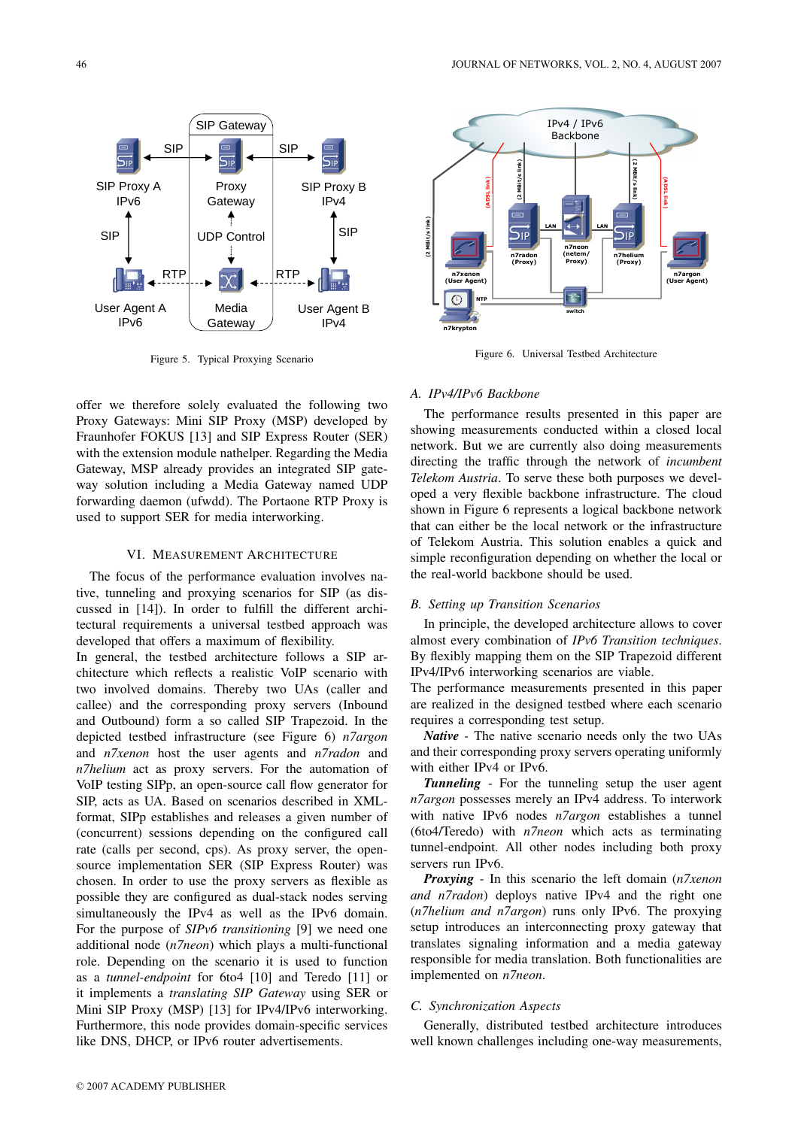

Figure 5. Typical Proxying Scenario

offer we therefore solely evaluated the following two Proxy Gateways: Mini SIP Proxy (MSP) developed by Fraunhofer FOKUS [13] and SIP Express Router (SER) with the extension module nathelper. Regarding the Media Gateway, MSP already provides an integrated SIP gateway solution including a Media Gateway named UDP forwarding daemon (ufwdd). The Portaone RTP Proxy is used to support SER for media interworking.

## VI. MEASUREMENT ARCHITECTURE

The focus of the performance evaluation involves native, tunneling and proxying scenarios for SIP (as discussed in [14]). In order to fulfill the different architectural requirements a universal testbed approach was developed that offers a maximum of flexibility.

In general, the testbed architecture follows a SIP architecture which reflects a realistic VoIP scenario with two involved domains. Thereby two UAs (caller and callee) and the corresponding proxy servers (Inbound and Outbound) form a so called SIP Trapezoid. In the depicted testbed infrastructure (see Figure 6) *n7argon* and *n7xenon* host the user agents and *n7radon* and *n7helium* act as proxy servers. For the automation of VoIP testing SIPp, an open-source call flow generator for SIP, acts as UA. Based on scenarios described in XMLformat, SIPp establishes and releases a given number of (concurrent) sessions depending on the configured call rate (calls per second, cps). As proxy server, the opensource implementation SER (SIP Express Router) was chosen. In order to use the proxy servers as flexible as possible they are configured as dual-stack nodes serving simultaneously the IPv4 as well as the IPv6 domain. For the purpose of *SIPv6 transitioning* [9] we need one additional node (*n7neon*) which plays a multi-functional role. Depending on the scenario it is used to function as a *tunnel-endpoint* for 6to4 [10] and Teredo [11] or it implements a *translating SIP Gateway* using SER or Mini SIP Proxy (MSP) [13] for IPv4/IPv6 interworking. Furthermore, this node provides domain-specific services like DNS, DHCP, or IPv6 router advertisements.



Figure 6. Universal Testbed Architecture

# *A. IPv4/IPv6 Backbone*

The performance results presented in this paper are showing measurements conducted within a closed local network. But we are currently also doing measurements directing the traffic through the network of *incumbent Telekom Austria*. To serve these both purposes we developed a very flexible backbone infrastructure. The cloud shown in Figure 6 represents a logical backbone network that can either be the local network or the infrastructure of Telekom Austria. This solution enables a quick and simple reconfiguration depending on whether the local or the real-world backbone should be used.

## *B. Setting up Transition Scenarios*

In principle, the developed architecture allows to cover almost every combination of *IPv6 Transition techniques*. By flexibly mapping them on the SIP Trapezoid different IPv4/IPv6 interworking scenarios are viable.

The performance measurements presented in this paper are realized in the designed testbed where each scenario requires a corresponding test setup.

*Native* - The native scenario needs only the two UAs and their corresponding proxy servers operating uniformly with either IPv4 or IPv6.

*Tunneling* - For the tunneling setup the user agent *n7argon* possesses merely an IPv4 address. To interwork with native IPv6 nodes *n7argon* establishes a tunnel (6to4/Teredo) with *n7neon* which acts as terminating tunnel-endpoint. All other nodes including both proxy servers run IPv6.

*Proxying* - In this scenario the left domain (*n7xenon and n7radon*) deploys native IPv4 and the right one (*n7helium and n7argon*) runs only IPv6. The proxying setup introduces an interconnecting proxy gateway that translates signaling information and a media gateway responsible for media translation. Both functionalities are implemented on *n7neon*.

# *C. Synchronization Aspects*

Generally, distributed testbed architecture introduces well known challenges including one-way measurements,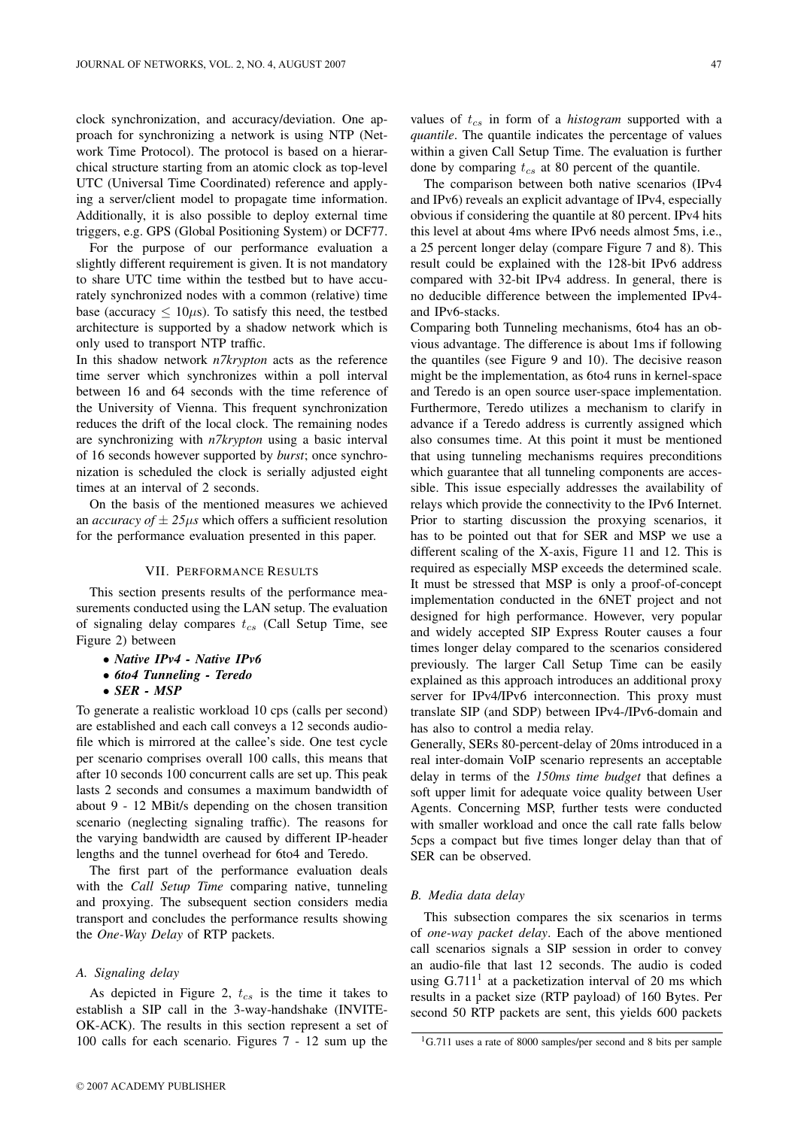clock synchronization, and accuracy/deviation. One approach for synchronizing a network is using NTP (Network Time Protocol). The protocol is based on a hierarchical structure starting from an atomic clock as top-level UTC (Universal Time Coordinated) reference and applying a server/client model to propagate time information. Additionally, it is also possible to deploy external time triggers, e.g. GPS (Global Positioning System) or DCF77.

For the purpose of our performance evaluation a slightly different requirement is given. It is not mandatory to share UTC time within the testbed but to have accurately synchronized nodes with a common (relative) time base (accuracy  $\leq 10\mu s$ ). To satisfy this need, the testbed architecture is supported by a shadow network which is only used to transport NTP traffic.

In this shadow network *n7krypton* acts as the reference time server which synchronizes within a poll interval between 16 and 64 seconds with the time reference of the University of Vienna. This frequent synchronization reduces the drift of the local clock. The remaining nodes are synchronizing with *n7krypton* using a basic interval of 16 seconds however supported by *burst*; once synchronization is scheduled the clock is serially adjusted eight times at an interval of 2 seconds.

On the basis of the mentioned measures we achieved an *accuracy of*  $\pm 25\mu s$  which offers a sufficient resolution for the performance evaluation presented in this paper.

#### VII. PERFORMANCE RESULTS

This section presents results of the performance measurements conducted using the LAN setup. The evaluation of signaling delay compares  $t_{cs}$  (Call Setup Time, see Figure 2) between

- *Native IPv4 Native IPv6*
- *6to4 Tunneling Teredo*
- *SER MSP*

To generate a realistic workload 10 cps (calls per second) are established and each call conveys a 12 seconds audiofile which is mirrored at the callee's side. One test cycle per scenario comprises overall 100 calls, this means that after 10 seconds 100 concurrent calls are set up. This peak lasts 2 seconds and consumes a maximum bandwidth of about 9 - 12 MBit/s depending on the chosen transition scenario (neglecting signaling traffic). The reasons for the varying bandwidth are caused by different IP-header lengths and the tunnel overhead for 6to4 and Teredo.

The first part of the performance evaluation deals with the *Call Setup Time* comparing native, tunneling and proxying. The subsequent section considers media transport and concludes the performance results showing the *One-Way Delay* of RTP packets.

## *A. Signaling delay*

As depicted in Figure 2,  $t_{cs}$  is the time it takes to establish a SIP call in the 3-way-handshake (INVITE-OK-ACK). The results in this section represent a set of 100 calls for each scenario. Figures 7 - 12 sum up the

values of  $t_{cs}$  in form of a *histogram* supported with a *quantile*. The quantile indicates the percentage of values within a given Call Setup Time. The evaluation is further done by comparing  $t_{cs}$  at 80 percent of the quantile.

The comparison between both native scenarios (IPv4 and IPv6) reveals an explicit advantage of IPv4, especially obvious if considering the quantile at 80 percent. IPv4 hits this level at about 4ms where IPv6 needs almost 5ms, i.e., a 25 percent longer delay (compare Figure 7 and 8). This result could be explained with the 128-bit IPv6 address compared with 32-bit IPv4 address. In general, there is no deducible difference between the implemented IPv4 and IPv6-stacks.

Comparing both Tunneling mechanisms, 6to4 has an obvious advantage. The difference is about 1ms if following the quantiles (see Figure 9 and 10). The decisive reason might be the implementation, as 6to4 runs in kernel-space and Teredo is an open source user-space implementation. Furthermore, Teredo utilizes a mechanism to clarify in advance if a Teredo address is currently assigned which also consumes time. At this point it must be mentioned that using tunneling mechanisms requires preconditions which guarantee that all tunneling components are accessible. This issue especially addresses the availability of relays which provide the connectivity to the IPv6 Internet. Prior to starting discussion the proxying scenarios, it has to be pointed out that for SER and MSP we use a different scaling of the X-axis, Figure 11 and 12. This is required as especially MSP exceeds the determined scale. It must be stressed that MSP is only a proof-of-concept implementation conducted in the 6NET project and not designed for high performance. However, very popular and widely accepted SIP Express Router causes a four times longer delay compared to the scenarios considered previously. The larger Call Setup Time can be easily explained as this approach introduces an additional proxy server for IPv4/IPv6 interconnection. This proxy must translate SIP (and SDP) between IPv4-/IPv6-domain and has also to control a media relay.

Generally, SERs 80-percent-delay of 20ms introduced in a real inter-domain VoIP scenario represents an acceptable delay in terms of the *150ms time budget* that defines a soft upper limit for adequate voice quality between User Agents. Concerning MSP, further tests were conducted with smaller workload and once the call rate falls below 5cps a compact but five times longer delay than that of SER can be observed.

# *B. Media data delay*

This subsection compares the six scenarios in terms of *one-way packet delay*. Each of the above mentioned call scenarios signals a SIP session in order to convey an audio-file that last 12 seconds. The audio is coded using  $G.711<sup>1</sup>$  at a packetization interval of 20 ms which results in a packet size (RTP payload) of 160 Bytes. Per second 50 RTP packets are sent, this yields 600 packets

<sup>1</sup>G.711 uses a rate of 8000 samples/per second and 8 bits per sample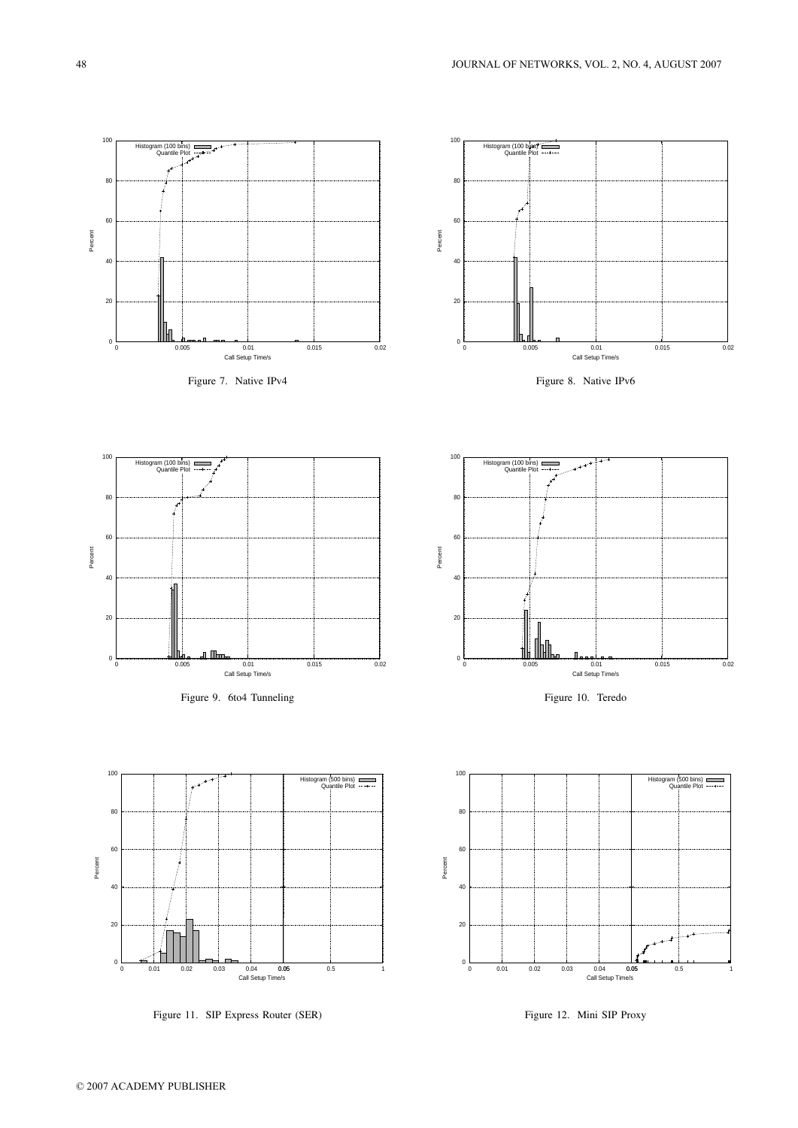

Figure 11. SIP Express Router (SER)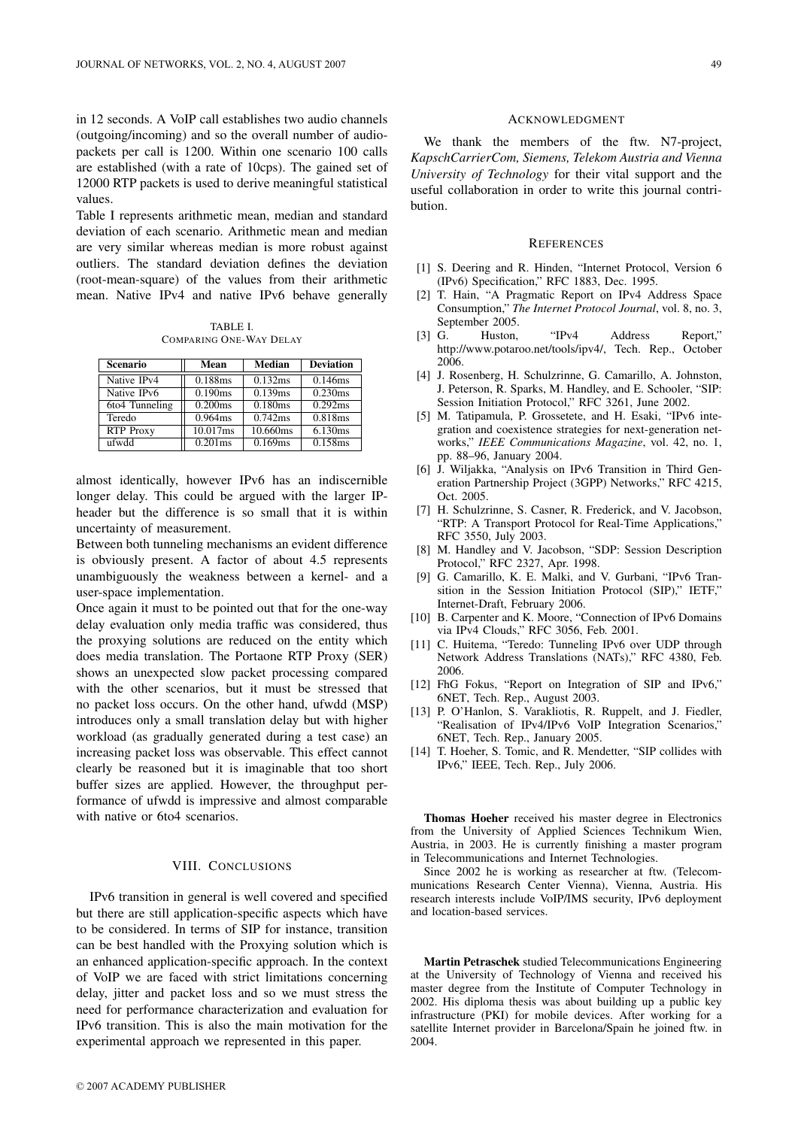in 12 seconds. A VoIP call establishes two audio channels (outgoing/incoming) and so the overall number of audiopackets per call is 1200. Within one scenario 100 calls are established (with a rate of 10cps). The gained set of 12000 RTP packets is used to derive meaningful statistical values.

Table I represents arithmetic mean, median and standard deviation of each scenario. Arithmetic mean and median are very similar whereas median is more robust against outliers. The standard deviation defines the deviation (root-mean-square) of the values from their arithmetic mean. Native IPv4 and native IPv6 behave generally

TABLE I. COMPARING ONE-WAY DELAY

| Scenario         | Mean       | <b>Median</b>          | <b>Deviation</b> |
|------------------|------------|------------------------|------------------|
| Native IPv4      | 0.188ms    | 0.132ms                | 0.146ms          |
| Native IPv6      | 0.190ms    | 0.139ms                | 0.230ms          |
| 6to4 Tunneling   | 0.200ms    | 0.180ms                | 0.292ms          |
| Teredo           | 0.964ms    | 0.742ms                | 0.818ms          |
| <b>RTP Proxy</b> | 10.017ms   | $\overline{10.660}$ ms | 6.130ms          |
| ufwdd            | $0.201$ ms | 0.169ms                | 0.158ms          |

almost identically, however IPv6 has an indiscernible longer delay. This could be argued with the larger IPheader but the difference is so small that it is within uncertainty of measurement.

Between both tunneling mechanisms an evident difference is obviously present. A factor of about 4.5 represents unambiguously the weakness between a kernel- and a user-space implementation.

Once again it must to be pointed out that for the one-way delay evaluation only media traffic was considered, thus the proxying solutions are reduced on the entity which does media translation. The Portaone RTP Proxy (SER) shows an unexpected slow packet processing compared with the other scenarios, but it must be stressed that no packet loss occurs. On the other hand, ufwdd (MSP) introduces only a small translation delay but with higher workload (as gradually generated during a test case) an increasing packet loss was observable. This effect cannot clearly be reasoned but it is imaginable that too short buffer sizes are applied. However, the throughput performance of ufwdd is impressive and almost comparable with native or 6to4 scenarios.

## VIII. CONCLUSIONS

IPv6 transition in general is well covered and specified but there are still application-specific aspects which have to be considered. In terms of SIP for instance, transition can be best handled with the Proxying solution which is an enhanced application-specific approach. In the context of VoIP we are faced with strict limitations concerning delay, jitter and packet loss and so we must stress the need for performance characterization and evaluation for IPv6 transition. This is also the main motivation for the experimental approach we represented in this paper.

We thank the members of the ftw. N7-project, *KapschCarrierCom, Siemens, Telekom Austria and Vienna University of Technology* for their vital support and the useful collaboration in order to write this journal contribution.

### **REFERENCES**

- [1] S. Deering and R. Hinden, "Internet Protocol, Version 6 (IPv6) Specification," RFC 1883, Dec. 1995.
- [2] T. Hain, "A Pragmatic Report on IPv4 Address Space Consumption," *The Internet Protocol Journal*, vol. 8, no. 3, September 2005.
- [3] G. Huston, "IPv4 Address Report," http://www.potaroo.net/tools/ipv4/, Tech. Rep., October 2006.
- [4] J. Rosenberg, H. Schulzrinne, G. Camarillo, A. Johnston, J. Peterson, R. Sparks, M. Handley, and E. Schooler, "SIP: Session Initiation Protocol," RFC 3261, June 2002.
- [5] M. Tatipamula, P. Grossetete, and H. Esaki, "IPv6 integration and coexistence strategies for next-generation networks," *IEEE Communications Magazine*, vol. 42, no. 1, pp. 88–96, January 2004.
- [6] J. Wiljakka, "Analysis on IPv6 Transition in Third Generation Partnership Project (3GPP) Networks," RFC 4215, Oct. 2005.
- [7] H. Schulzrinne, S. Casner, R. Frederick, and V. Jacobson, "RTP: A Transport Protocol for Real-Time Applications," RFC 3550, July 2003.
- [8] M. Handley and V. Jacobson, "SDP: Session Description Protocol," RFC 2327, Apr. 1998.
- [9] G. Camarillo, K. E. Malki, and V. Gurbani, "IPv6 Transition in the Session Initiation Protocol (SIP)," IETF," Internet-Draft, February 2006.
- [10] B. Carpenter and K. Moore, "Connection of IPv6 Domains via IPv4 Clouds," RFC 3056, Feb. 2001.
- [11] C. Huitema, "Teredo: Tunneling IPv6 over UDP through Network Address Translations (NATs)," RFC 4380, Feb. 2006.
- [12] FhG Fokus, "Report on Integration of SIP and IPv6," 6NET, Tech. Rep., August 2003.
- [13] P. O'Hanlon, S. Varakliotis, R. Ruppelt, and J. Fiedler, "Realisation of IPv4/IPv6 VoIP Integration Scenarios," 6NET, Tech. Rep., January 2005.
- [14] T. Hoeher, S. Tomic, and R. Mendetter, "SIP collides with IPv6," IEEE, Tech. Rep., July 2006.

Thomas Hoeher received his master degree in Electronics from the University of Applied Sciences Technikum Wien, Austria, in 2003. He is currently finishing a master program in Telecommunications and Internet Technologies.

Since 2002 he is working as researcher at ftw. (Telecommunications Research Center Vienna), Vienna, Austria. His research interests include VoIP/IMS security, IPv6 deployment and location-based services.

Martin Petraschek studied Telecommunications Engineering at the University of Technology of Vienna and received his master degree from the Institute of Computer Technology in 2002. His diploma thesis was about building up a public key infrastructure (PKI) for mobile devices. After working for a satellite Internet provider in Barcelona/Spain he joined ftw. in 2004.